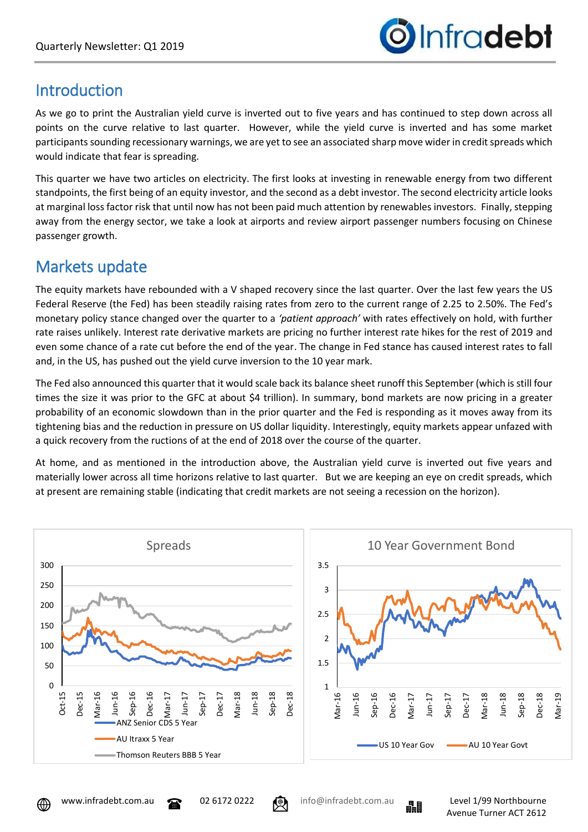

# **Introduction**

As we go to print the Australian yield curve is inverted out to five years and has continued to step down across all points on the curve relative to last quarter. However, while the yield curve is inverted and has some market participants sounding recessionary warnings, we are yet to see an associated sharp move wider in credit spreads which would indicate that fear is spreading.

This quarter we have two articles on electricity. The first looks at investing in renewable energy from two different standpoints, the first being of an equity investor, and the second as a debt investor. The second electricity article looks at marginal loss factor risk that until now has not been paid much attention by renewables investors. Finally, stepping away from the energy sector, we take a look at airports and review airport passenger numbers focusing on Chinese passenger growth.

# Markets update

The equity markets have rebounded with a V shaped recovery since the last quarter. Over the last few years the US Federal Reserve (the Fed) has been steadily raising rates from zero to the current range of 2.25 to 2.50%. The Fed's monetary policy stance changed over the quarter to a *'patient approach'* with rates effectively on hold, with further rate raises unlikely. Interest rate derivative markets are pricing no further interest rate hikes for the rest of 2019 and even some chance of a rate cut before the end of the year. The change in Fed stance has caused interest rates to fall and, in the US, has pushed out the yield curve inversion to the 10 year mark.

The Fed also announced this quarter that it would scale back its balance sheet runoff this September (which is still four times the size it was prior to the GFC at about \$4 trillion). In summary, bond markets are now pricing in a greater probability of an economic slowdown than in the prior quarter and the Fed is responding as it moves away from its tightening bias and the reduction in pressure on US dollar liquidity. Interestingly, equity markets appear unfazed with a quick recovery from the ructions of at the end of 2018 over the course of the quarter.

At home, and as mentioned in the introduction above, the Australian yield curve is inverted out five years and materially lower across all time horizons relative to last quarter. But we are keeping an eye on credit spreads, which at present are remaining stable (indicating that credit markets are not seeing a recession on the horizon).





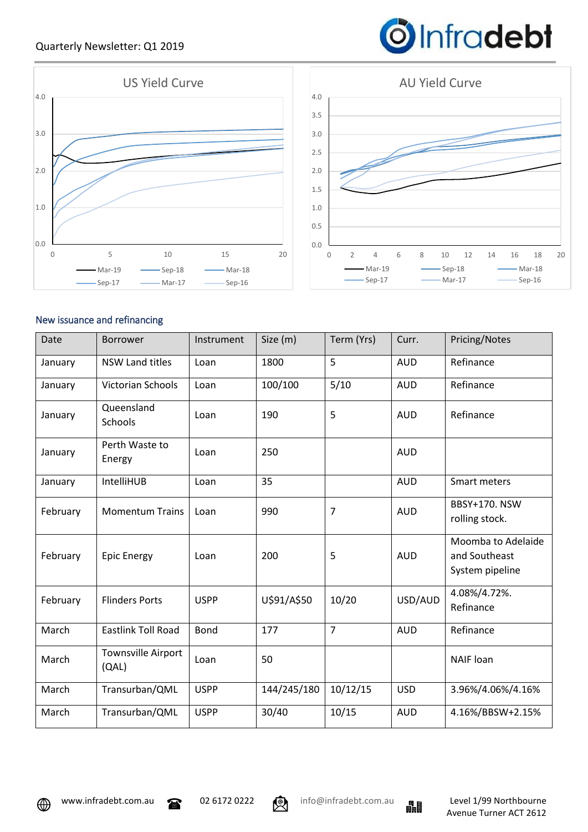### Quarterly Newsletter: Q1 2019





## New issuance and refinancing

| Date     | <b>Borrower</b>                    | Instrument  | Size (m)    | Term (Yrs)     | Curr.      | Pricing/Notes                                          |
|----------|------------------------------------|-------------|-------------|----------------|------------|--------------------------------------------------------|
| January  | <b>NSW Land titles</b>             | Loan        | 1800        | 5              | <b>AUD</b> | Refinance                                              |
| January  | Victorian Schools                  | Loan        | 100/100     | 5/10           | <b>AUD</b> | Refinance                                              |
| January  | Queensland<br>Schools              | Loan        | 190         | 5              | <b>AUD</b> | Refinance                                              |
| January  | Perth Waste to<br>Energy           | Loan        | 250         |                | <b>AUD</b> |                                                        |
| January  | IntelliHUB                         | Loan        | 35          |                | <b>AUD</b> | Smart meters                                           |
| February | <b>Momentum Trains</b>             | Loan        | 990         | $\overline{7}$ | <b>AUD</b> | BBSY+170. NSW<br>rolling stock.                        |
| February | <b>Epic Energy</b>                 | Loan        | 200         | 5              | <b>AUD</b> | Moomba to Adelaide<br>and Southeast<br>System pipeline |
| February | <b>Flinders Ports</b>              | <b>USPP</b> | U\$91/A\$50 | 10/20          | USD/AUD    | 4.08%/4.72%.<br>Refinance                              |
| March    | <b>Eastlink Toll Road</b>          | <b>Bond</b> | 177         | $\overline{7}$ | <b>AUD</b> | Refinance                                              |
| March    | <b>Townsville Airport</b><br>(QAL) | Loan        | 50          |                |            | <b>NAIF</b> loan                                       |
| March    | Transurban/QML                     | <b>USPP</b> | 144/245/180 | 10/12/15       | <b>USD</b> | 3.96%/4.06%/4.16%                                      |
| March    | Transurban/QML                     | <b>USPP</b> | 30/40       | 10/15          | <b>AUD</b> | 4.16%/BBSW+2.15%                                       |



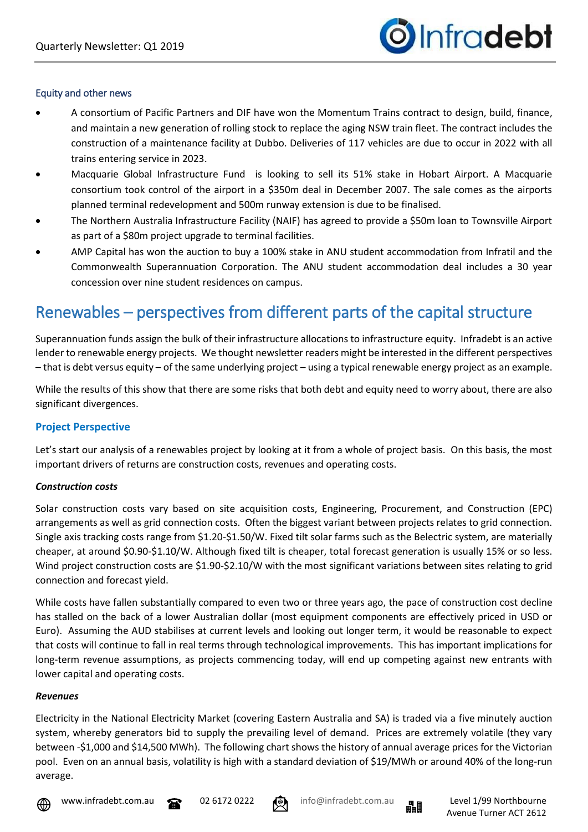

#### Equity and other news

- A consortium of Pacific Partners and DIF have won the Momentum Trains contract to design, build, finance, and maintain a new generation of rolling stock to replace the aging NSW train fleet. The contract includes the construction of a maintenance facility at Dubbo. Deliveries of 117 vehicles are due to occur in 2022 with all trains entering service in 2023.
- Macquarie Global Infrastructure Fund is looking to sell its 51% stake in Hobart Airport. A Macquarie consortium took control of the airport in a \$350m deal in December 2007. The sale comes as the airports planned terminal redevelopment and 500m runway extension is due to be finalised.
- The Northern Australia Infrastructure Facility (NAIF) has agreed to provide a \$50m loan to Townsville Airport as part of a \$80m project upgrade to terminal facilities.
- AMP Capital has won the auction to buy a 100% stake in ANU student accommodation from Infratil and the Commonwealth Superannuation Corporation. The ANU student accommodation deal includes a 30 year concession over nine student residences on campus.

# Renewables – perspectives from different parts of the capital structure

Superannuation funds assign the bulk of their infrastructure allocations to infrastructure equity. Infradebt is an active lender to renewable energy projects. We thought newsletter readers might be interested in the different perspectives – that is debt versus equity – of the same underlying project – using a typical renewable energy project as an example.

While the results of this show that there are some risks that both debt and equity need to worry about, there are also significant divergences.

#### **Project Perspective**

Let's start our analysis of a renewables project by looking at it from a whole of project basis. On this basis, the most important drivers of returns are construction costs, revenues and operating costs.

#### *Construction costs*

Solar construction costs vary based on site acquisition costs, Engineering, Procurement, and Construction (EPC) arrangements as well as grid connection costs. Often the biggest variant between projects relates to grid connection. Single axis tracking costs range from \$1.20-\$1.50/W. Fixed tilt solar farms such as the Belectric system, are materially cheaper, at around \$0.90-\$1.10/W. Although fixed tilt is cheaper, total forecast generation is usually 15% or so less. Wind project construction costs are \$1.90-\$2.10/W with the most significant variations between sites relating to grid connection and forecast yield.

While costs have fallen substantially compared to even two or three years ago, the pace of construction cost decline has stalled on the back of a lower Australian dollar (most equipment components are effectively priced in USD or Euro). Assuming the AUD stabilises at current levels and looking out longer term, it would be reasonable to expect that costs will continue to fall in real terms through technological improvements. This has important implications for long-term revenue assumptions, as projects commencing today, will end up competing against new entrants with lower capital and operating costs.

#### *Revenues*

Electricity in the National Electricity Market (covering Eastern Australia and SA) is traded via a five minutely auction system, whereby generators bid to supply the prevailing level of demand. Prices are extremely volatile (they vary between -\$1,000 and \$14,500 MWh). The following chart shows the history of annual average prices for the Victorian pool. Even on an annual basis, volatility is high with a standard deviation of \$19/MWh or around 40% of the long-run average.







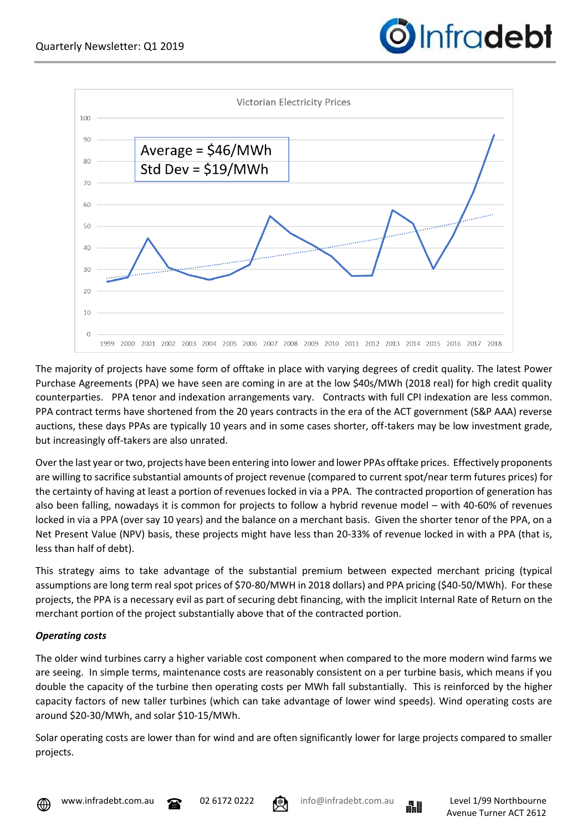



The majority of projects have some form of offtake in place with varying degrees of credit quality. The latest Power Purchase Agreements (PPA) we have seen are coming in are at the low \$40s/MWh (2018 real) for high credit quality counterparties. PPA tenor and indexation arrangements vary. Contracts with full CPI indexation are less common. PPA contract terms have shortened from the 20 years contracts in the era of the ACT government (S&P AAA) reverse auctions, these days PPAs are typically 10 years and in some cases shorter, off-takers may be low investment grade, but increasingly off-takers are also unrated.

Over the last year or two, projects have been entering into lower and lower PPAs offtake prices. Effectively proponents are willing to sacrifice substantial amounts of project revenue (compared to current spot/near term futures prices) for the certainty of having at least a portion of revenues locked in via a PPA. The contracted proportion of generation has also been falling, nowadays it is common for projects to follow a hybrid revenue model – with 40-60% of revenues locked in via a PPA (over say 10 years) and the balance on a merchant basis. Given the shorter tenor of the PPA, on a Net Present Value (NPV) basis, these projects might have less than 20-33% of revenue locked in with a PPA (that is, less than half of debt).

This strategy aims to take advantage of the substantial premium between expected merchant pricing (typical assumptions are long term real spot prices of \$70-80/MWH in 2018 dollars) and PPA pricing (\$40-50/MWh). For these projects, the PPA is a necessary evil as part of securing debt financing, with the implicit Internal Rate of Return on the merchant portion of the project substantially above that of the contracted portion.

#### *Operating costs*

The older wind turbines carry a higher variable cost component when compared to the more modern wind farms we are seeing. In simple terms, maintenance costs are reasonably consistent on a per turbine basis, which means if you double the capacity of the turbine then operating costs per MWh fall substantially. This is reinforced by the higher capacity factors of new taller turbines (which can take advantage of lower wind speeds). Wind operating costs are around \$20-30/MWh, and solar \$10-15/MWh.

Solar operating costs are lower than for wind and are often significantly lower for large projects compared to smaller projects.









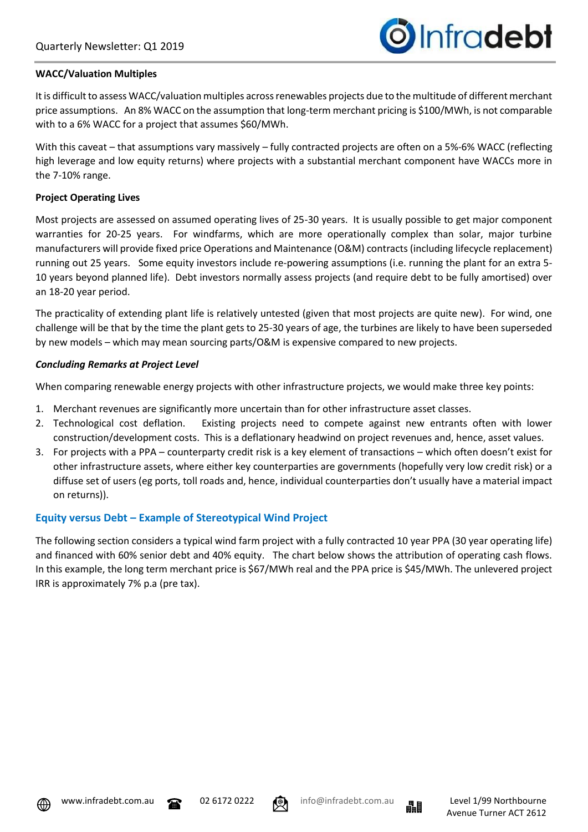

## **WACC/Valuation Multiples**

It is difficult to assess WACC/valuation multiples across renewables projects due to the multitude of different merchant price assumptions. An 8% WACC on the assumption that long-term merchant pricing is \$100/MWh, is not comparable with to a 6% WACC for a project that assumes \$60/MWh.

With this caveat – that assumptions vary massively – fully contracted projects are often on a 5%-6% WACC (reflecting high leverage and low equity returns) where projects with a substantial merchant component have WACCs more in the 7-10% range.

# **Project Operating Lives**

Most projects are assessed on assumed operating lives of 25-30 years. It is usually possible to get major component warranties for 20-25 years. For windfarms, which are more operationally complex than solar, major turbine manufacturers will provide fixed price Operations and Maintenance (O&M) contracts (including lifecycle replacement) running out 25 years. Some equity investors include re-powering assumptions (i.e. running the plant for an extra 5- 10 years beyond planned life). Debt investors normally assess projects (and require debt to be fully amortised) over an 18-20 year period.

The practicality of extending plant life is relatively untested (given that most projects are quite new). For wind, one challenge will be that by the time the plant gets to 25-30 years of age, the turbines are likely to have been superseded by new models – which may mean sourcing parts/O&M is expensive compared to new projects.

# *Concluding Remarks at Project Level*

When comparing renewable energy projects with other infrastructure projects, we would make three key points:

- 1. Merchant revenues are significantly more uncertain than for other infrastructure asset classes.
- 2. Technological cost deflation. Existing projects need to compete against new entrants often with lower construction/development costs. This is a deflationary headwind on project revenues and, hence, asset values.
- 3. For projects with a PPA counterparty credit risk is a key element of transactions which often doesn't exist for other infrastructure assets, where either key counterparties are governments (hopefully very low credit risk) or a diffuse set of users (eg ports, toll roads and, hence, individual counterparties don't usually have a material impact on returns)).

# **Equity versus Debt – Example of Stereotypical Wind Project**

The following section considers a typical wind farm project with a fully contracted 10 year PPA (30 year operating life) and financed with 60% senior debt and 40% equity. The chart below shows the attribution of operating cash flows. In this example, the long term merchant price is \$67/MWh real and the PPA price is \$45/MWh. The unlevered project IRR is approximately 7% p.a (pre tax).



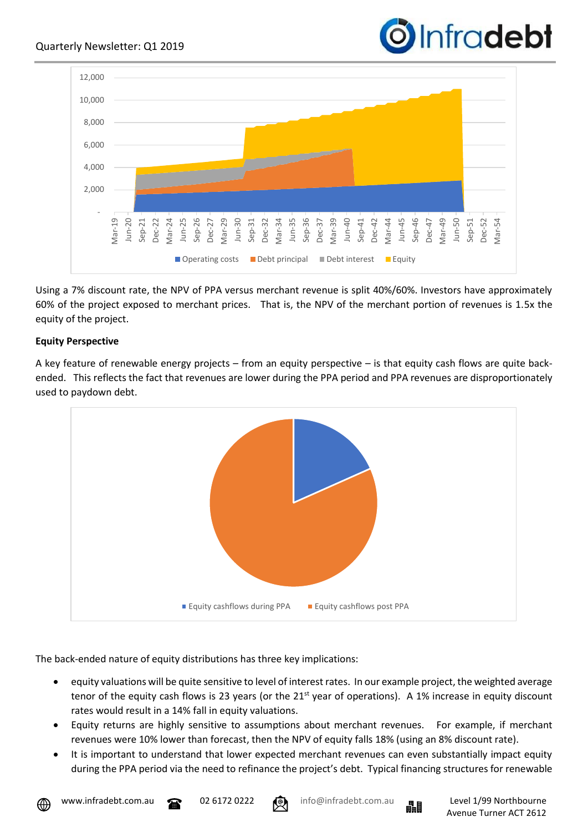



Using a 7% discount rate, the NPV of PPA versus merchant revenue is split 40%/60%. Investors have approximately 60% of the project exposed to merchant prices. That is, the NPV of the merchant portion of revenues is 1.5x the equity of the project.

#### **Equity Perspective**

A key feature of renewable energy projects – from an equity perspective – is that equity cash flows are quite backended. This reflects the fact that revenues are lower during the PPA period and PPA revenues are disproportionately used to paydown debt.



The back-ended nature of equity distributions has three key implications:

- equity valuations will be quite sensitive to level of interest rates. In our example project, the weighted average tenor of the equity cash flows is 23 years (or the 21<sup>st</sup> year of operations). A 1% increase in equity discount rates would result in a 14% fall in equity valuations.
- Equity returns are highly sensitive to assumptions about merchant revenues. For example, if merchant revenues were 10% lower than forecast, then the NPV of equity falls 18% (using an 8% discount rate).
- It is important to understand that lower expected merchant revenues can even substantially impact equity during the PPA period via the need to refinance the project's debt. Typical financing structures for renewable



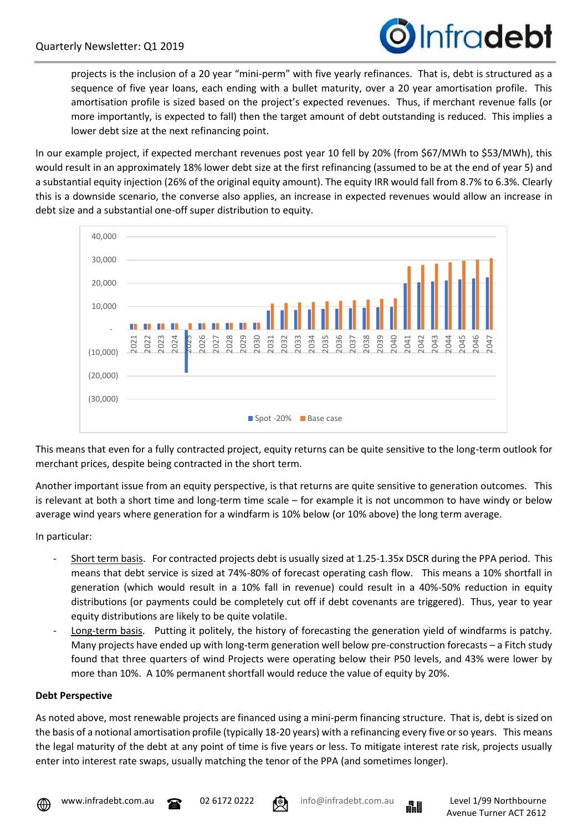

projects is the inclusion of a 20 year "mini-perm" with five yearly refinances. That is, debt is structured as a sequence of five year loans, each ending with a bullet maturity, over a 20 year amortisation profile. This amortisation profile is sized based on the project's expected revenues. Thus, if merchant revenue falls (or more importantly, is expected to fall) then the target amount of debt outstanding is reduced. This implies a lower debt size at the next refinancing point.

In our example project, if expected merchant revenues post year 10 fell by 20% (from \$67/MWh to \$53/MWh), this would result in an approximately 18% lower debt size at the first refinancing (assumed to be at the end of year 5) and a substantial equity injection (26% of the original equity amount). The equity IRR would fall from 8.7% to 6.3%. Clearly this is a downside scenario, the converse also applies, an increase in expected revenues would allow an increase in debt size and a substantial one-off super distribution to equity.



This means that even for a fully contracted project, equity returns can be quite sensitive to the long-term outlook for merchant prices, despite being contracted in the short term.

Another important issue from an equity perspective, is that returns are quite sensitive to generation outcomes. This is relevant at both a short time and long-term time scale – for example it is not uncommon to have windy or below average wind years where generation for a windfarm is 10% below (or 10% above) the long term average.

In particular:

- Short term basis. For contracted projects debt is usually sized at 1.25-1.35x DSCR during the PPA period. This means that debt service is sized at 74%-80% of forecast operating cash flow. This means a 10% shortfall in generation (which would result in a 10% fall in revenue) could result in a 40%-50% reduction in equity distributions (or payments could be completely cut off if debt covenants are triggered). Thus, year to year equity distributions are likely to be quite volatile.
- Long-term basis. Putting it politely, the history of forecasting the generation yield of windfarms is patchy. Many projects have ended up with long-term generation well below pre-construction forecasts – a Fitch study found that three quarters of wind Projects were operating below their P50 levels, and 43% were lower by more than 10%. A 10% permanent shortfall would reduce the value of equity by 20%.

#### **Debt Perspective**

As noted above, most renewable projects are financed using a mini-perm financing structure. That is, debt is sized on the basis of a notional amortisation profile (typically 18-20 years) with a refinancing every five or so years. This means the legal maturity of the debt at any point of time is five years or less. To mitigate interest rate risk, projects usually enter into interest rate swaps, usually matching the tenor of the PPA (and sometimes longer).







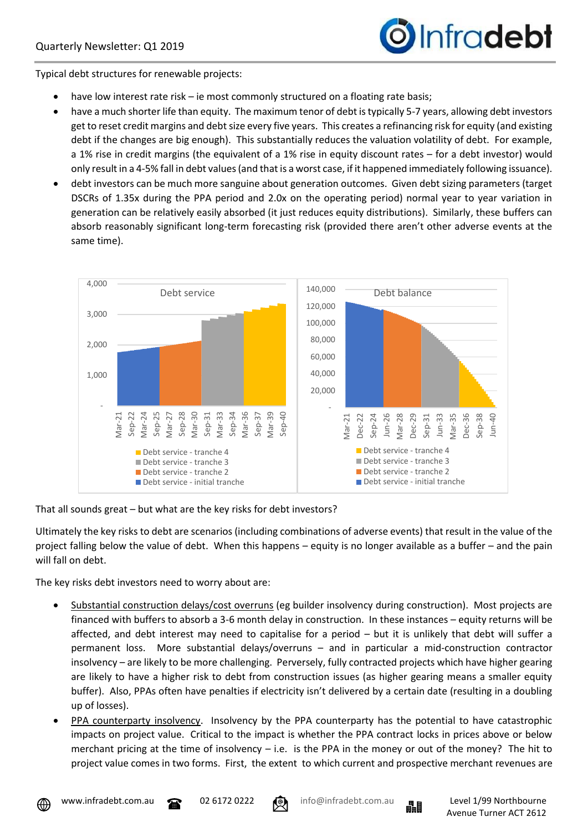

Typical debt structures for renewable projects:

- have low interest rate risk ie most commonly structured on a floating rate basis;
- have a much shorter life than equity. The maximum tenor of debt is typically 5-7 years, allowing debt investors get to reset credit margins and debt size every five years. This creates a refinancing risk for equity (and existing debt if the changes are big enough). This substantially reduces the valuation volatility of debt. For example, a 1% rise in credit margins (the equivalent of a 1% rise in equity discount rates – for a debt investor) would only result in a 4-5% fall in debt values (and that is a worst case, if it happened immediately following issuance).
- debt investors can be much more sanguine about generation outcomes. Given debt sizing parameters (target DSCRs of 1.35x during the PPA period and 2.0x on the operating period) normal year to year variation in generation can be relatively easily absorbed (it just reduces equity distributions). Similarly, these buffers can absorb reasonably significant long-term forecasting risk (provided there aren't other adverse events at the same time).



That all sounds great – but what are the key risks for debt investors?

Ultimately the key risks to debt are scenarios (including combinations of adverse events) that result in the value of the project falling below the value of debt. When this happens – equity is no longer available as a buffer – and the pain will fall on debt.

The key risks debt investors need to worry about are:

- Substantial construction delays/cost overruns (eg builder insolvency during construction). Most projects are financed with buffers to absorb a 3-6 month delay in construction. In these instances – equity returns will be affected, and debt interest may need to capitalise for a period – but it is unlikely that debt will suffer a permanent loss. More substantial delays/overruns – and in particular a mid-construction contractor insolvency – are likely to be more challenging. Perversely, fully contracted projects which have higher gearing are likely to have a higher risk to debt from construction issues (as higher gearing means a smaller equity buffer). Also, PPAs often have penalties if electricity isn't delivered by a certain date (resulting in a doubling up of losses).
- PPA counterparty insolvency. Insolvency by the PPA counterparty has the potential to have catastrophic impacts on project value. Critical to the impact is whether the PPA contract locks in prices above or below merchant pricing at the time of insolvency  $-$  i.e. is the PPA in the money or out of the money? The hit to project value comes in two forms. First, the extent to which current and prospective merchant revenues are







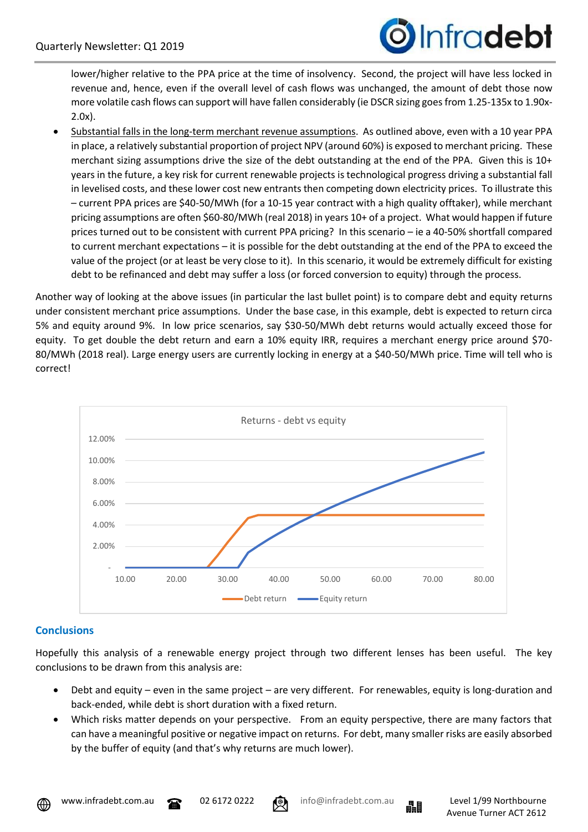

lower/higher relative to the PPA price at the time of insolvency. Second, the project will have less locked in revenue and, hence, even if the overall level of cash flows was unchanged, the amount of debt those now more volatile cash flows can support will have fallen considerably (ie DSCR sizing goes from 1.25-135x to 1.90x-2.0x).

• Substantial falls in the long-term merchant revenue assumptions. As outlined above, even with a 10 year PPA in place, a relatively substantial proportion of project NPV (around 60%) is exposed to merchant pricing. These merchant sizing assumptions drive the size of the debt outstanding at the end of the PPA. Given this is 10+ years in the future, a key risk for current renewable projects is technological progress driving a substantial fall in levelised costs, and these lower cost new entrants then competing down electricity prices. To illustrate this – current PPA prices are \$40-50/MWh (for a 10-15 year contract with a high quality offtaker), while merchant pricing assumptions are often \$60-80/MWh (real 2018) in years 10+ of a project. What would happen if future prices turned out to be consistent with current PPA pricing? In this scenario – ie a 40-50% shortfall compared to current merchant expectations – it is possible for the debt outstanding at the end of the PPA to exceed the value of the project (or at least be very close to it). In this scenario, it would be extremely difficult for existing debt to be refinanced and debt may suffer a loss (or forced conversion to equity) through the process.

Another way of looking at the above issues (in particular the last bullet point) is to compare debt and equity returns under consistent merchant price assumptions. Under the base case, in this example, debt is expected to return circa 5% and equity around 9%. In low price scenarios, say \$30-50/MWh debt returns would actually exceed those for equity. To get double the debt return and earn a 10% equity IRR, requires a merchant energy price around \$70- 80/MWh (2018 real). Large energy users are currently locking in energy at a \$40-50/MWh price. Time will tell who is correct!



## **Conclusions**

Hopefully this analysis of a renewable energy project through two different lenses has been useful. The key conclusions to be drawn from this analysis are:

- Debt and equity even in the same project are very different. For renewables, equity is long-duration and back-ended, while debt is short duration with a fixed return.
- Which risks matter depends on your perspective. From an equity perspective, there are many factors that can have a meaningful positive or negative impact on returns. For debt, many smaller risks are easily absorbed by the buffer of equity (and that's why returns are much lower).



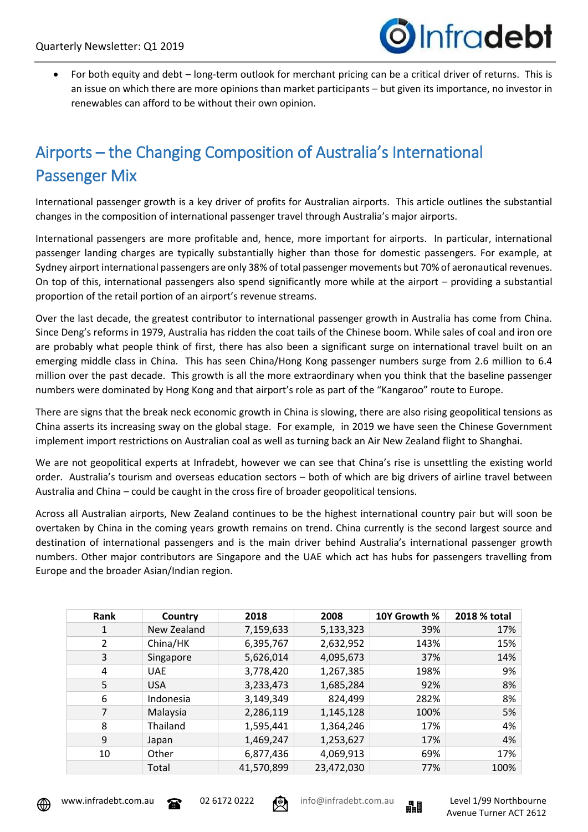

• For both equity and debt – long-term outlook for merchant pricing can be a critical driver of returns. This is an issue on which there are more opinions than market participants – but given its importance, no investor in renewables can afford to be without their own opinion.

# Airports – the Changing Composition of Australia's International Passenger Mix

International passenger growth is a key driver of profits for Australian airports. This article outlines the substantial changes in the composition of international passenger travel through Australia's major airports.

International passengers are more profitable and, hence, more important for airports. In particular, international passenger landing charges are typically substantially higher than those for domestic passengers. For example, at Sydney airport international passengers are only 38% of total passenger movements but 70% of aeronautical revenues. On top of this, international passengers also spend significantly more while at the airport – providing a substantial proportion of the retail portion of an airport's revenue streams.

Over the last decade, the greatest contributor to international passenger growth in Australia has come from China. Since Deng's reforms in 1979, Australia has ridden the coat tails of the Chinese boom. While sales of coal and iron ore are probably what people think of first, there has also been a significant surge on international travel built on an emerging middle class in China. This has seen China/Hong Kong passenger numbers surge from 2.6 million to 6.4 million over the past decade. This growth is all the more extraordinary when you think that the baseline passenger numbers were dominated by Hong Kong and that airport's role as part of the "Kangaroo" route to Europe.

There are signs that the break neck economic growth in China is slowing, there are also rising geopolitical tensions as China asserts its increasing sway on the global stage. For example, in 2019 we have seen the Chinese Government implement import restrictions on Australian coal as well as turning back an Air New Zealand flight to Shanghai.

We are not geopolitical experts at Infradebt, however we can see that China's rise is unsettling the existing world order. Australia's tourism and overseas education sectors – both of which are big drivers of airline travel between Australia and China – could be caught in the cross fire of broader geopolitical tensions.

Across all Australian airports, New Zealand continues to be the highest international country pair but will soon be overtaken by China in the coming years growth remains on trend. China currently is the second largest source and destination of international passengers and is the main driver behind Australia's international passenger growth numbers. Other major contributors are Singapore and the UAE which act has hubs for passengers travelling from Europe and the broader Asian/Indian region.

| Rank | Country     | 2018       | 2008       | 10Y Growth % | 2018 % total |
|------|-------------|------------|------------|--------------|--------------|
| 1    | New Zealand | 7,159,633  | 5,133,323  | 39%          | 17%          |
| 2    | China/HK    | 6,395,767  | 2,632,952  | 143%         | 15%          |
| 3    | Singapore   | 5,626,014  | 4,095,673  | 37%          | 14%          |
| 4    | <b>UAE</b>  | 3,778,420  | 1,267,385  | 198%         | 9%           |
| 5    | <b>USA</b>  | 3,233,473  | 1,685,284  | 92%          | 8%           |
| 6    | Indonesia   | 3,149,349  | 824,499    | 282%         | 8%           |
| 7    | Malaysia    | 2,286,119  | 1,145,128  | 100%         | 5%           |
| 8    | Thailand    | 1,595,441  | 1,364,246  | 17%          | 4%           |
| 9    | Japan       | 1,469,247  | 1,253,627  | 17%          | 4%           |
| 10   | Other       | 6,877,436  | 4,069,913  | 69%          | 17%          |
|      | Total       | 41,570,899 | 23,472,030 | 77%          | 100%         |







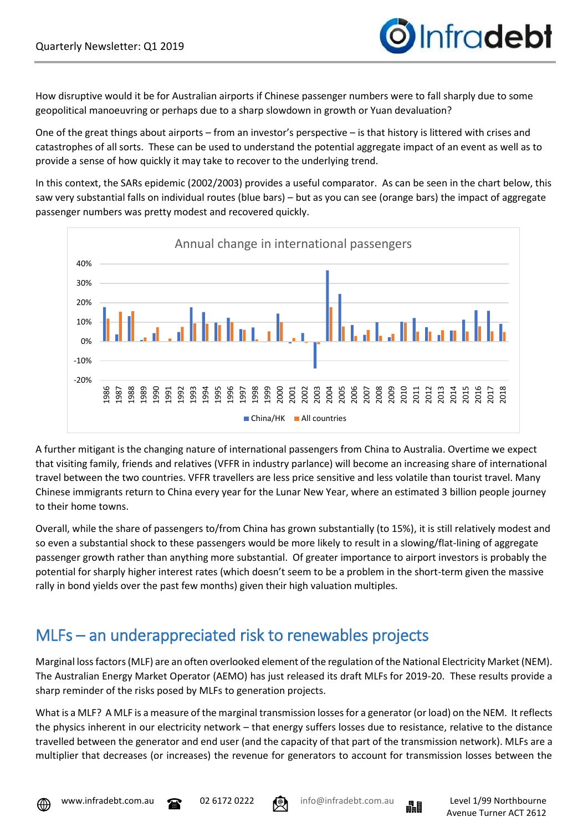

How disruptive would it be for Australian airports if Chinese passenger numbers were to fall sharply due to some geopolitical manoeuvring or perhaps due to a sharp slowdown in growth or Yuan devaluation?

One of the great things about airports – from an investor's perspective – is that history is littered with crises and catastrophes of all sorts. These can be used to understand the potential aggregate impact of an event as well as to provide a sense of how quickly it may take to recover to the underlying trend.

In this context, the SARs epidemic (2002/2003) provides a useful comparator. As can be seen in the chart below, this saw very substantial falls on individual routes (blue bars) – but as you can see (orange bars) the impact of aggregate passenger numbers was pretty modest and recovered quickly.



A further mitigant is the changing nature of international passengers from China to Australia. Overtime we expect that visiting family, friends and relatives (VFFR in industry parlance) will become an increasing share of international travel between the two countries. VFFR travellers are less price sensitive and less volatile than tourist travel. Many Chinese immigrants return to China every year for the Lunar New Year, where an estimated 3 billion people journey to their home towns.

Overall, while the share of passengers to/from China has grown substantially (to 15%), it is still relatively modest and so even a substantial shock to these passengers would be more likely to result in a slowing/flat-lining of aggregate passenger growth rather than anything more substantial. Of greater importance to airport investors is probably the potential for sharply higher interest rates (which doesn't seem to be a problem in the short-term given the massive rally in bond yields over the past few months) given their high valuation multiples.

# MLFs – an underappreciated risk to renewables projects

Marginal loss factors (MLF) are an often overlooked element of the regulation of the National Electricity Market (NEM). The Australian Energy Market Operator (AEMO) has just released its draft MLFs for 2019-20. These results provide a sharp reminder of the risks posed by MLFs to generation projects.

What is a MLF? A MLF is a measure of the marginal transmission losses for a generator (or load) on the NEM. It reflects the physics inherent in our electricity network – that energy suffers losses due to resistance, relative to the distance travelled between the generator and end user (and the capacity of that part of the transmission network). MLFs are a multiplier that decreases (or increases) the revenue for generators to account for transmission losses between the







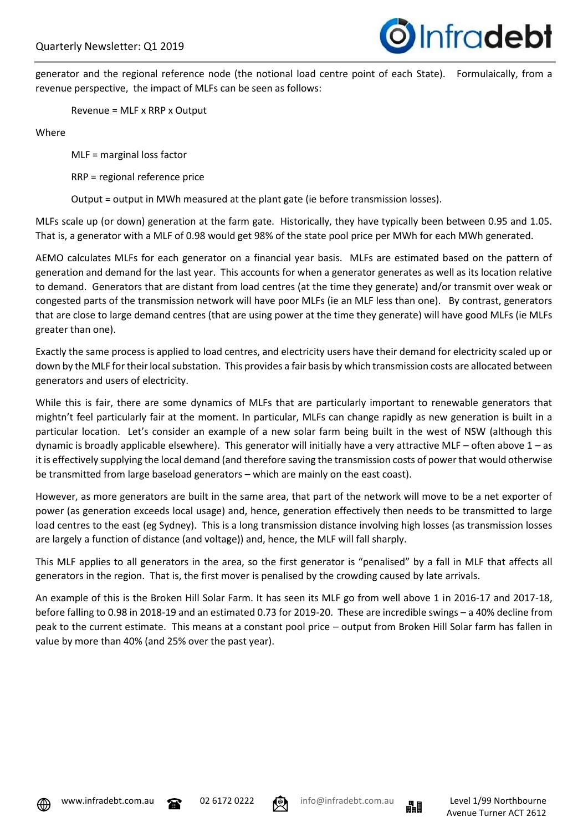

generator and the regional reference node (the notional load centre point of each State). Formulaically, from a revenue perspective, the impact of MLFs can be seen as follows:

Revenue = MLF x RRP x Output

Where

MLF = marginal loss factor

RRP = regional reference price

Output = output in MWh measured at the plant gate (ie before transmission losses).

MLFs scale up (or down) generation at the farm gate. Historically, they have typically been between 0.95 and 1.05. That is, a generator with a MLF of 0.98 would get 98% of the state pool price per MWh for each MWh generated.

AEMO calculates MLFs for each generator on a financial year basis. MLFs are estimated based on the pattern of generation and demand for the last year. This accounts for when a generator generates as well as its location relative to demand. Generators that are distant from load centres (at the time they generate) and/or transmit over weak or congested parts of the transmission network will have poor MLFs (ie an MLF less than one). By contrast, generators that are close to large demand centres (that are using power at the time they generate) will have good MLFs (ie MLFs greater than one).

Exactly the same process is applied to load centres, and electricity users have their demand for electricity scaled up or down by the MLF for their local substation. This provides a fair basis by which transmission costs are allocated between generators and users of electricity.

While this is fair, there are some dynamics of MLFs that are particularly important to renewable generators that mightn't feel particularly fair at the moment. In particular, MLFs can change rapidly as new generation is built in a particular location. Let's consider an example of a new solar farm being built in the west of NSW (although this dynamic is broadly applicable elsewhere). This generator will initially have a very attractive MLF – often above  $1 - as$ it is effectively supplying the local demand (and therefore saving the transmission costs of power that would otherwise be transmitted from large baseload generators – which are mainly on the east coast).

However, as more generators are built in the same area, that part of the network will move to be a net exporter of power (as generation exceeds local usage) and, hence, generation effectively then needs to be transmitted to large load centres to the east (eg Sydney). This is a long transmission distance involving high losses (as transmission losses are largely a function of distance (and voltage)) and, hence, the MLF will fall sharply.

This MLF applies to all generators in the area, so the first generator is "penalised" by a fall in MLF that affects all generators in the region. That is, the first mover is penalised by the crowding caused by late arrivals.

An example of this is the Broken Hill Solar Farm. It has seen its MLF go from well above 1 in 2016-17 and 2017-18, before falling to 0.98 in 2018-19 and an estimated 0.73 for 2019-20. These are incredible swings – a 40% decline from peak to the current estimate. This means at a constant pool price – output from Broken Hill Solar farm has fallen in value by more than 40% (and 25% over the past year).





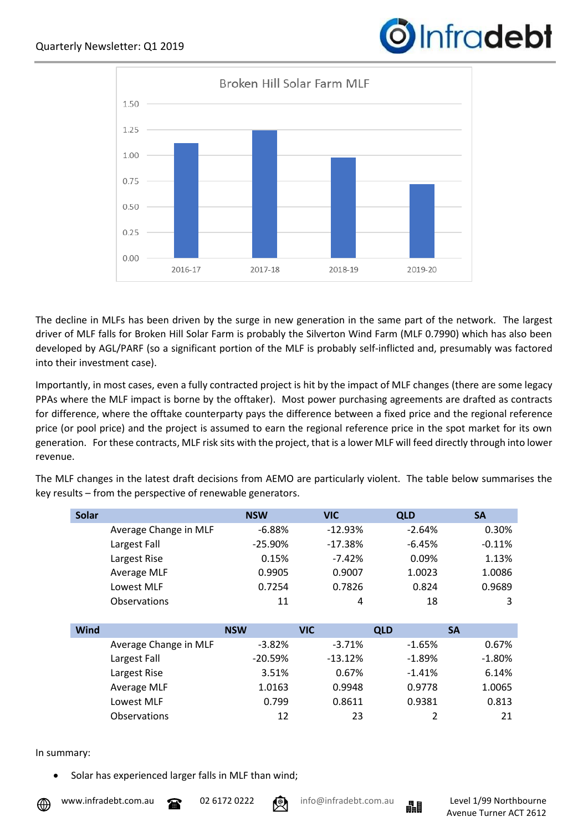



The decline in MLFs has been driven by the surge in new generation in the same part of the network. The largest driver of MLF falls for Broken Hill Solar Farm is probably the Silverton Wind Farm (MLF 0.7990) which has also been developed by AGL/PARF (so a significant portion of the MLF is probably self-inflicted and, presumably was factored into their investment case).

Importantly, in most cases, even a fully contracted project is hit by the impact of MLF changes (there are some legacy PPAs where the MLF impact is borne by the offtaker). Most power purchasing agreements are drafted as contracts for difference, where the offtake counterparty pays the difference between a fixed price and the regional reference price (or pool price) and the project is assumed to earn the regional reference price in the spot market for its own generation. For these contracts, MLF risk sits with the project, that is a lower MLF will feed directly through into lower revenue.

The MLF changes in the latest draft decisions from AEMO are particularly violent. The table below summarises the key results – from the perspective of renewable generators.

| <b>Solar</b> |                       | <b>NSW</b> | <b>VIC</b> | <b>QLD</b> | <b>SA</b> |
|--------------|-----------------------|------------|------------|------------|-----------|
|              | Average Change in MLF | $-6.88%$   | $-12.93%$  | $-2.64%$   | 0.30%     |
|              | Largest Fall          | $-25.90%$  | $-17.38%$  | $-6.45%$   | $-0.11%$  |
|              | Largest Rise          | 0.15%      | $-7.42%$   | 0.09%      | 1.13%     |
|              | Average MLF           | 0.9905     | 0.9007     | 1.0023     | 1.0086    |
|              | Lowest MLF            | 0.7254     | 0.7826     | 0.824      | 0.9689    |
|              | Observations          | 11         | 4          | 18         | 3         |
|              |                       |            |            |            |           |
| Wind         |                       | <b>NSW</b> | <b>VIC</b> | <b>QLD</b> | <b>SA</b> |
|              | Average Change in MLF | $-3.82\%$  | $-3.71%$   | $-1.65\%$  | 0.67%     |
|              | Largest Fall          | $-20.59%$  | $-13.12%$  | $-1.89%$   | $-1.80%$  |
|              | Largest Rise          | 3.51%      | 0.67%      | $-1.41%$   | 6.14%     |
|              |                       |            |            |            |           |
|              | Average MLF           | 1.0163     | 0.9948     | 0.9778     | 1.0065    |
|              | Lowest MLF            | 0.799      | 0.8611     | 0.9381     | 0.813     |

#### In summary:

Solar has experienced larger falls in MLF than wind;